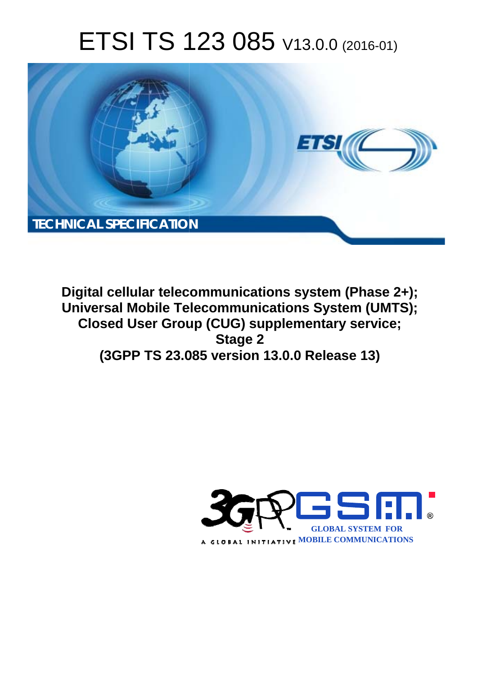# ETSI TS 123 085 V13.0.0 (2016-01)



**Digital cellular telecommunications system (Phase 2+); Universal Mobile Tel elecommunications System ( (UMTS); Closed User Group (CUG) supplementary service; (3GPP TS 23.0 .085 version 13.0.0 Release 13 13) Stage 2** 

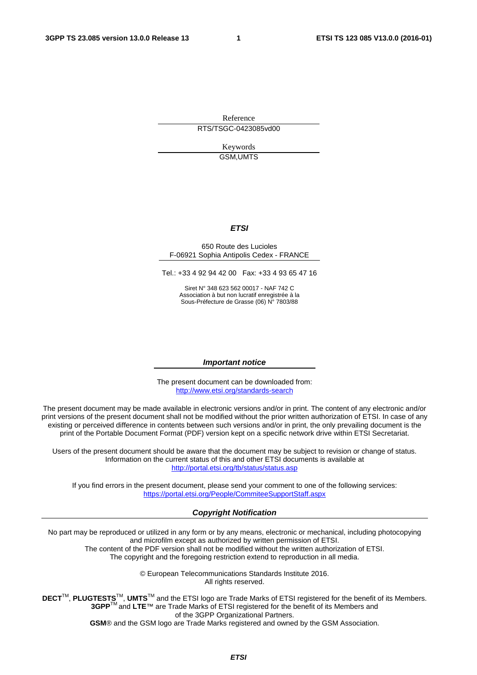Reference RTS/TSGC-0423085vd00

> Keywords GSM,UMTS

#### *ETSI*

#### 650 Route des Lucioles F-06921 Sophia Antipolis Cedex - FRANCE

Tel.: +33 4 92 94 42 00 Fax: +33 4 93 65 47 16

Siret N° 348 623 562 00017 - NAF 742 C Association à but non lucratif enregistrée à la Sous-Préfecture de Grasse (06) N° 7803/88

#### *Important notice*

The present document can be downloaded from: <http://www.etsi.org/standards-search>

The present document may be made available in electronic versions and/or in print. The content of any electronic and/or print versions of the present document shall not be modified without the prior written authorization of ETSI. In case of any existing or perceived difference in contents between such versions and/or in print, the only prevailing document is the print of the Portable Document Format (PDF) version kept on a specific network drive within ETSI Secretariat.

Users of the present document should be aware that the document may be subject to revision or change of status. Information on the current status of this and other ETSI documents is available at <http://portal.etsi.org/tb/status/status.asp>

If you find errors in the present document, please send your comment to one of the following services: <https://portal.etsi.org/People/CommiteeSupportStaff.aspx>

#### *Copyright Notification*

No part may be reproduced or utilized in any form or by any means, electronic or mechanical, including photocopying and microfilm except as authorized by written permission of ETSI.

The content of the PDF version shall not be modified without the written authorization of ETSI. The copyright and the foregoing restriction extend to reproduction in all media.

> © European Telecommunications Standards Institute 2016. All rights reserved.

**DECT**TM, **PLUGTESTS**TM, **UMTS**TM and the ETSI logo are Trade Marks of ETSI registered for the benefit of its Members. **3GPP**TM and **LTE**™ are Trade Marks of ETSI registered for the benefit of its Members and of the 3GPP Organizational Partners.

**GSM**® and the GSM logo are Trade Marks registered and owned by the GSM Association.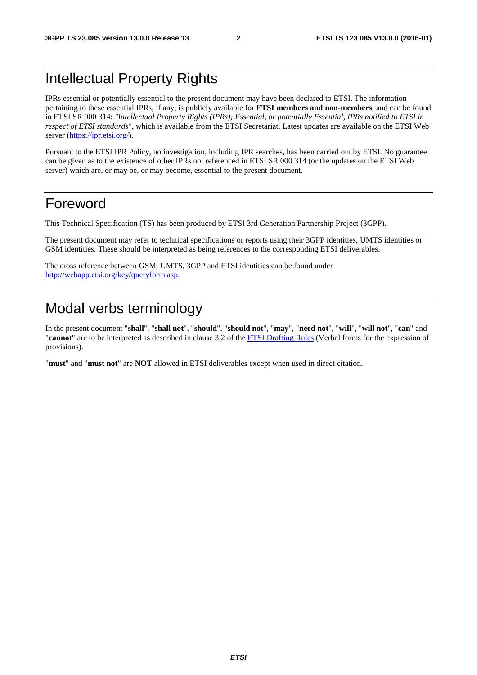## Intellectual Property Rights

IPRs essential or potentially essential to the present document may have been declared to ETSI. The information pertaining to these essential IPRs, if any, is publicly available for **ETSI members and non-members**, and can be found in ETSI SR 000 314: *"Intellectual Property Rights (IPRs); Essential, or potentially Essential, IPRs notified to ETSI in respect of ETSI standards"*, which is available from the ETSI Secretariat. Latest updates are available on the ETSI Web server [\(https://ipr.etsi.org/](https://ipr.etsi.org/)).

Pursuant to the ETSI IPR Policy, no investigation, including IPR searches, has been carried out by ETSI. No guarantee can be given as to the existence of other IPRs not referenced in ETSI SR 000 314 (or the updates on the ETSI Web server) which are, or may be, or may become, essential to the present document.

## Foreword

This Technical Specification (TS) has been produced by ETSI 3rd Generation Partnership Project (3GPP).

The present document may refer to technical specifications or reports using their 3GPP identities, UMTS identities or GSM identities. These should be interpreted as being references to the corresponding ETSI deliverables.

The cross reference between GSM, UMTS, 3GPP and ETSI identities can be found under [http://webapp.etsi.org/key/queryform.asp.](http://webapp.etsi.org/key/queryform.asp)

## Modal verbs terminology

In the present document "**shall**", "**shall not**", "**should**", "**should not**", "**may**", "**need not**", "**will**", "**will not**", "**can**" and "**cannot**" are to be interpreted as described in clause 3.2 of the [ETSI Drafting Rules](http://portal.etsi.org/Help/editHelp!/Howtostart/ETSIDraftingRules.aspx) (Verbal forms for the expression of provisions).

"**must**" and "**must not**" are **NOT** allowed in ETSI deliverables except when used in direct citation.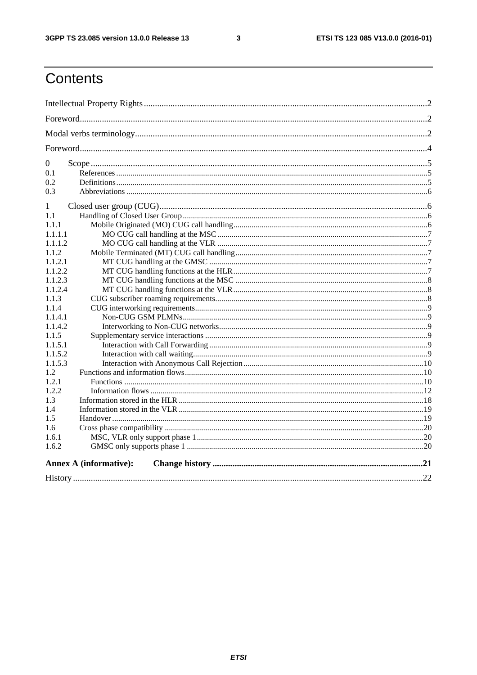$\mathbf{3}$ 

## Contents

| $\mathbf{0}$                  |  |
|-------------------------------|--|
| 0.1                           |  |
| 0.2                           |  |
| 0.3                           |  |
| 1                             |  |
| 1.1                           |  |
| 1.1.1                         |  |
| 1.1.1.1                       |  |
| 1.1.1.2                       |  |
| 1.1.2                         |  |
| 1.1.2.1                       |  |
| 1.1.2.2                       |  |
| 1.1.2.3                       |  |
| 1.1.2.4                       |  |
| 1.1.3                         |  |
| 1.1.4                         |  |
| 1.1.4.1                       |  |
| 1.1.4.2                       |  |
| 1.1.5                         |  |
| 1.1.5.1                       |  |
| 1.1.5.2                       |  |
| 1.1.5.3                       |  |
| 1.2                           |  |
| 1.2.1                         |  |
| 1.2.2                         |  |
| 1.3                           |  |
| 1.4                           |  |
| 1.5                           |  |
| 1.6                           |  |
| 1.6.1                         |  |
| 1.6.2                         |  |
| <b>Annex A (informative):</b> |  |
|                               |  |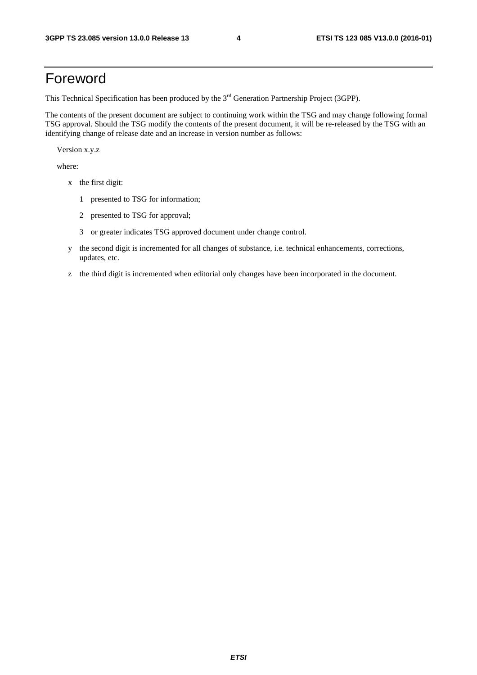## Foreword

This Technical Specification has been produced by the 3<sup>rd</sup> Generation Partnership Project (3GPP).

The contents of the present document are subject to continuing work within the TSG and may change following formal TSG approval. Should the TSG modify the contents of the present document, it will be re-released by the TSG with an identifying change of release date and an increase in version number as follows:

Version x.y.z

where:

- x the first digit:
	- 1 presented to TSG for information;
	- 2 presented to TSG for approval;
	- 3 or greater indicates TSG approved document under change control.
- y the second digit is incremented for all changes of substance, i.e. technical enhancements, corrections, updates, etc.
- z the third digit is incremented when editorial only changes have been incorporated in the document.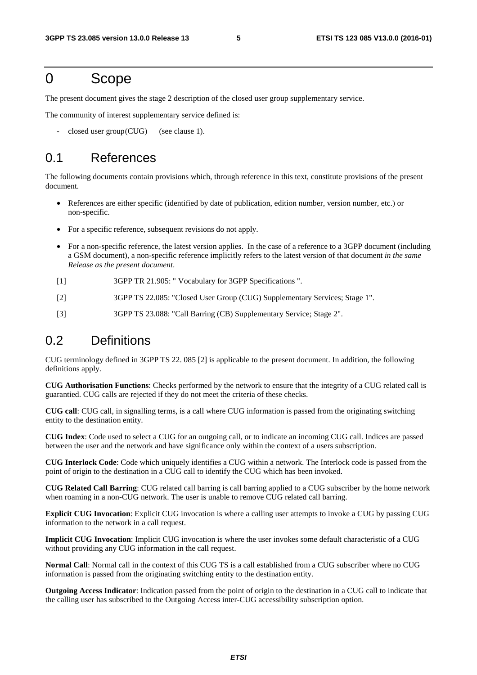## 0 Scope

The present document gives the stage 2 description of the closed user group supplementary service.

The community of interest supplementary service defined is:

 $closed user group (CUG)$  (see clause 1).

## 0.1 References

The following documents contain provisions which, through reference in this text, constitute provisions of the present document.

- References are either specific (identified by date of publication, edition number, version number, etc.) or non-specific.
- For a specific reference, subsequent revisions do not apply.
- For a non-specific reference, the latest version applies. In the case of a reference to a 3GPP document (including a GSM document), a non-specific reference implicitly refers to the latest version of that document *in the same Release as the present document*.
- [1] 3GPP TR 21.905: " Vocabulary for 3GPP Specifications ".
- [2] 3GPP TS 22.085: "Closed User Group (CUG) Supplementary Services; Stage 1".
- [3] 3GPP TS 23.088: "Call Barring (CB) Supplementary Service; Stage 2".

## 0.2 Definitions

CUG terminology defined in 3GPP TS 22. 085 [2] is applicable to the present document. In addition, the following definitions apply.

**CUG Authorisation Functions**: Checks performed by the network to ensure that the integrity of a CUG related call is guarantied. CUG calls are rejected if they do not meet the criteria of these checks.

**CUG call**: CUG call, in signalling terms, is a call where CUG information is passed from the originating switching entity to the destination entity.

**CUG Index**: Code used to select a CUG for an outgoing call, or to indicate an incoming CUG call. Indices are passed between the user and the network and have significance only within the context of a users subscription.

**CUG Interlock Code**: Code which uniquely identifies a CUG within a network. The Interlock code is passed from the point of origin to the destination in a CUG call to identify the CUG which has been invoked.

**CUG Related Call Barring**: CUG related call barring is call barring applied to a CUG subscriber by the home network when roaming in a non-CUG network. The user is unable to remove CUG related call barring.

**Explicit CUG Invocation**: Explicit CUG invocation is where a calling user attempts to invoke a CUG by passing CUG information to the network in a call request.

**Implicit CUG Invocation**: Implicit CUG invocation is where the user invokes some default characteristic of a CUG without providing any CUG information in the call request.

**Normal Call**: Normal call in the context of this CUG TS is a call established from a CUG subscriber where no CUG information is passed from the originating switching entity to the destination entity.

**Outgoing Access Indicator**: Indication passed from the point of origin to the destination in a CUG call to indicate that the calling user has subscribed to the Outgoing Access inter-CUG accessibility subscription option.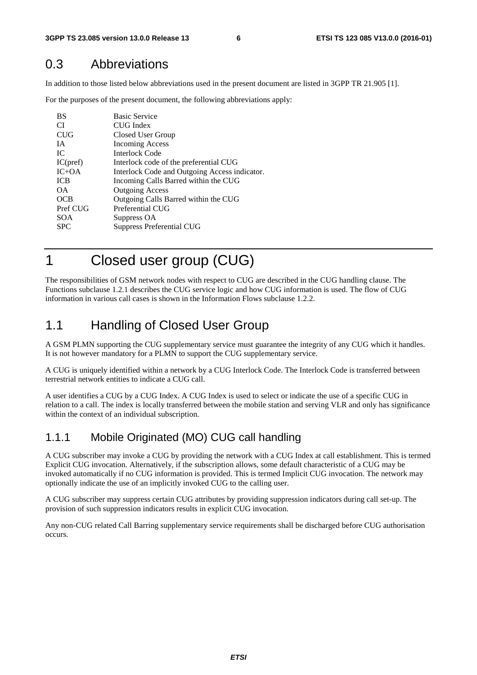## 0.3 Abbreviations

In addition to those listed below abbreviations used in the present document are listed in 3GPP TR 21.905 [1].

For the purposes of the present document, the following abbreviations apply:

| CI.<br>CUG Index<br><b>CUG</b><br>Closed User Group<br><b>Incoming Access</b><br><b>IA</b><br><b>Interlock Code</b><br>IC |  |
|---------------------------------------------------------------------------------------------------------------------------|--|
|                                                                                                                           |  |
|                                                                                                                           |  |
|                                                                                                                           |  |
|                                                                                                                           |  |
| IC(pref)<br>Interlock code of the preferential CUG                                                                        |  |
| $IC+OA$<br>Interlock Code and Outgoing Access indicator.                                                                  |  |
| <b>ICB</b><br>Incoming Calls Barred within the CUG                                                                        |  |
| <b>Outgoing Access</b><br>ΩA.                                                                                             |  |
| Outgoing Calls Barred within the CUG<br><b>OCB</b>                                                                        |  |
| Pref CUG<br>Preferential CUG                                                                                              |  |
| <b>SOA</b><br>Suppress OA                                                                                                 |  |
| <b>SPC</b><br>Suppress Preferential CUG                                                                                   |  |

1 Closed user group (CUG)

The responsibilities of GSM network nodes with respect to CUG are described in the CUG handling clause. The Functions subclause 1.2.1 describes the CUG service logic and how CUG information is used. The flow of CUG information in various call cases is shown in the Information Flows subclause 1.2.2.

## 1.1 Handling of Closed User Group

A GSM PLMN supporting the CUG supplementary service must guarantee the integrity of any CUG which it handles. It is not however mandatory for a PLMN to support the CUG supplementary service.

A CUG is uniquely identified within a network by a CUG Interlock Code. The Interlock Code is transferred between terrestrial network entities to indicate a CUG call.

A user identifies a CUG by a CUG Index. A CUG Index is used to select or indicate the use of a specific CUG in relation to a call. The index is locally transferred between the mobile station and serving VLR and only has significance within the context of an individual subscription.

## 1.1.1 Mobile Originated (MO) CUG call handling

A CUG subscriber may invoke a CUG by providing the network with a CUG Index at call establishment. This is termed Explicit CUG invocation. Alternatively, if the subscription allows, some default characteristic of a CUG may be invoked automatically if no CUG information is provided. This is termed Implicit CUG invocation. The network may optionally indicate the use of an implicitly invoked CUG to the calling user.

A CUG subscriber may suppress certain CUG attributes by providing suppression indicators during call set-up. The provision of such suppression indicators results in explicit CUG invocation.

Any non-CUG related Call Barring supplementary service requirements shall be discharged before CUG authorisation occurs.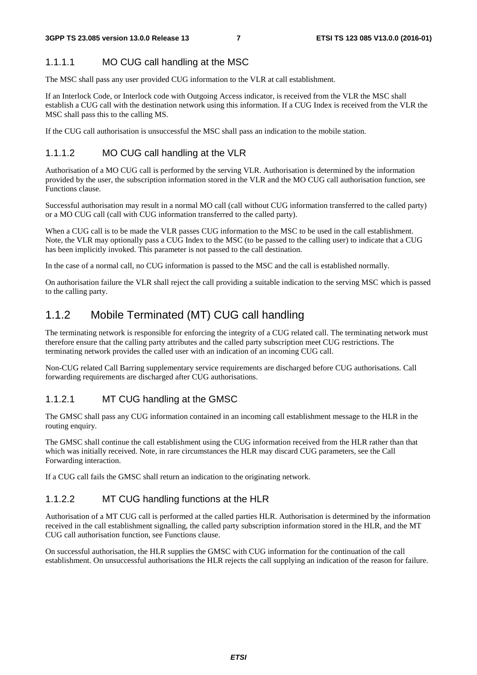#### 1.1.1.1 MO CUG call handling at the MSC

The MSC shall pass any user provided CUG information to the VLR at call establishment.

If an Interlock Code, or Interlock code with Outgoing Access indicator, is received from the VLR the MSC shall establish a CUG call with the destination network using this information. If a CUG Index is received from the VLR the MSC shall pass this to the calling MS.

If the CUG call authorisation is unsuccessful the MSC shall pass an indication to the mobile station.

#### 1.1.1.2 MO CUG call handling at the VLR

Authorisation of a MO CUG call is performed by the serving VLR. Authorisation is determined by the information provided by the user, the subscription information stored in the VLR and the MO CUG call authorisation function, see Functions clause.

Successful authorisation may result in a normal MO call (call without CUG information transferred to the called party) or a MO CUG call (call with CUG information transferred to the called party).

When a CUG call is to be made the VLR passes CUG information to the MSC to be used in the call establishment. Note, the VLR may optionally pass a CUG Index to the MSC (to be passed to the calling user) to indicate that a CUG has been implicitly invoked. This parameter is not passed to the call destination.

In the case of a normal call, no CUG information is passed to the MSC and the call is established normally.

On authorisation failure the VLR shall reject the call providing a suitable indication to the serving MSC which is passed to the calling party.

## 1.1.2 Mobile Terminated (MT) CUG call handling

The terminating network is responsible for enforcing the integrity of a CUG related call. The terminating network must therefore ensure that the calling party attributes and the called party subscription meet CUG restrictions. The terminating network provides the called user with an indication of an incoming CUG call.

Non-CUG related Call Barring supplementary service requirements are discharged before CUG authorisations. Call forwarding requirements are discharged after CUG authorisations.

#### 1.1.2.1 MT CUG handling at the GMSC

The GMSC shall pass any CUG information contained in an incoming call establishment message to the HLR in the routing enquiry.

The GMSC shall continue the call establishment using the CUG information received from the HLR rather than that which was initially received. Note, in rare circumstances the HLR may discard CUG parameters, see the Call Forwarding interaction.

If a CUG call fails the GMSC shall return an indication to the originating network.

#### 1.1.2.2 MT CUG handling functions at the HLR

Authorisation of a MT CUG call is performed at the called parties HLR. Authorisation is determined by the information received in the call establishment signalling, the called party subscription information stored in the HLR, and the MT CUG call authorisation function, see Functions clause.

On successful authorisation, the HLR supplies the GMSC with CUG information for the continuation of the call establishment. On unsuccessful authorisations the HLR rejects the call supplying an indication of the reason for failure.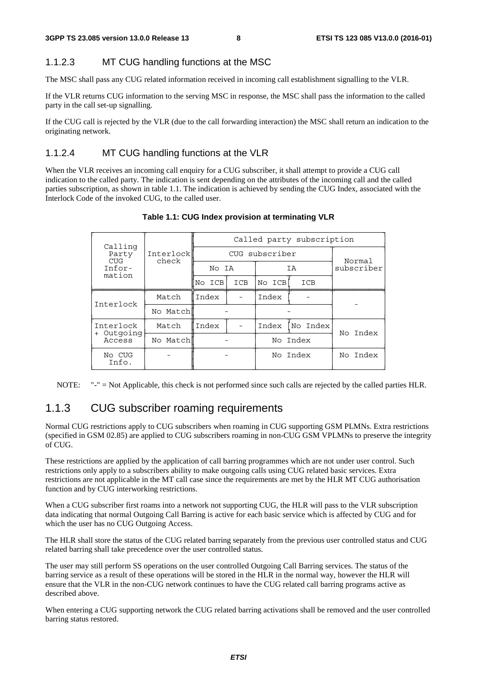### 1.1.2.3 MT CUG handling functions at the MSC

The MSC shall pass any CUG related information received in incoming call establishment signalling to the VLR.

If the VLR returns CUG information to the serving MSC in response, the MSC shall pass the information to the called party in the call set-up signalling.

If the CUG call is rejected by the VLR (due to the call forwarding interaction) the MSC shall return an indication to the originating network.

### 1.1.2.4 MT CUG handling functions at the VLR

When the VLR receives an incoming call enquiry for a CUG subscriber, it shall attempt to provide a CUG call indication to the called party. The indication is sent depending on the attributes of the incoming call and the called parties subscription, as shown in table 1.1. The indication is achieved by sending the CUG Index, associated with the Interlock Code of the invoked CUG, to the called user.

|           | Called party subscription |                   |          |     |                                                        |  |  |  |
|-----------|---------------------------|-------------------|----------|-----|--------------------------------------------------------|--|--|--|
| Interlock |                           |                   |          |     |                                                        |  |  |  |
|           |                           |                   |          |     | Normal<br>subscriber                                   |  |  |  |
|           |                           | ICB               |          | ICB |                                                        |  |  |  |
| Match     |                           |                   | Index    |     |                                                        |  |  |  |
| No Match  |                           |                   |          |     |                                                        |  |  |  |
| Match     | Index                     |                   | Index    |     | No Index                                               |  |  |  |
| No Match  |                           |                   | No Index |     |                                                        |  |  |  |
|           |                           |                   |          |     | No Index                                               |  |  |  |
|           | check                     | No ICB<br>l Index | No IA    |     | CUG subscriber<br>ΙA<br>No ICB<br>No Index<br>No Index |  |  |  |

#### **Table 1.1: CUG Index provision at terminating VLR**

NOTE: "-" = Not Applicable, this check is not performed since such calls are rejected by the called parties HLR.

### 1.1.3 CUG subscriber roaming requirements

Normal CUG restrictions apply to CUG subscribers when roaming in CUG supporting GSM PLMNs. Extra restrictions (specified in GSM 02.85) are applied to CUG subscribers roaming in non-CUG GSM VPLMNs to preserve the integrity of CUG.

These restrictions are applied by the application of call barring programmes which are not under user control. Such restrictions only apply to a subscribers ability to make outgoing calls using CUG related basic services. Extra restrictions are not applicable in the MT call case since the requirements are met by the HLR MT CUG authorisation function and by CUG interworking restrictions.

When a CUG subscriber first roams into a network not supporting CUG, the HLR will pass to the VLR subscription data indicating that normal Outgoing Call Barring is active for each basic service which is affected by CUG and for which the user has no CUG Outgoing Access.

The HLR shall store the status of the CUG related barring separately from the previous user controlled status and CUG related barring shall take precedence over the user controlled status.

The user may still perform SS operations on the user controlled Outgoing Call Barring services. The status of the barring service as a result of these operations will be stored in the HLR in the normal way, however the HLR will ensure that the VLR in the non-CUG network continues to have the CUG related call barring programs active as described above.

When entering a CUG supporting network the CUG related barring activations shall be removed and the user controlled barring status restored.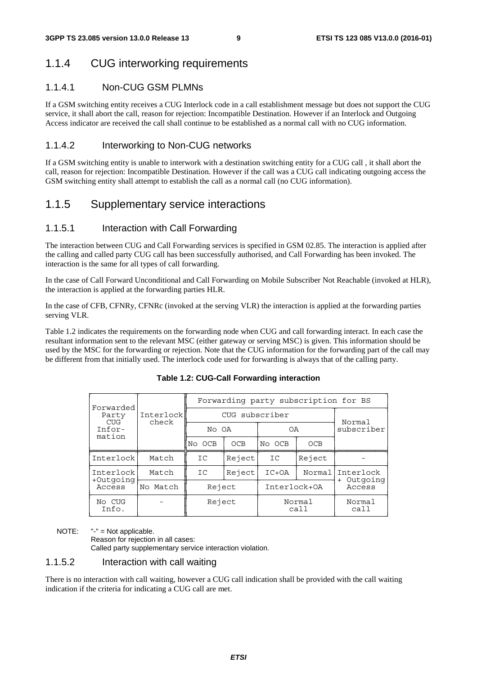## 1.1.4 CUG interworking requirements

#### 1.1.4.1 Non-CUG GSM PLMNs

If a GSM switching entity receives a CUG Interlock code in a call establishment message but does not support the CUG service, it shall abort the call, reason for rejection: Incompatible Destination. However if an Interlock and Outgoing Access indicator are received the call shall continue to be established as a normal call with no CUG information.

#### 1.1.4.2 Interworking to Non-CUG networks

If a GSM switching entity is unable to interwork with a destination switching entity for a CUG call , it shall abort the call, reason for rejection: Incompatible Destination. However if the call was a CUG call indicating outgoing access the GSM switching entity shall attempt to establish the call as a normal call (no CUG information).

## 1.1.5 Supplementary service interactions

#### 1.1.5.1 Interaction with Call Forwarding

The interaction between CUG and Call Forwarding services is specified in GSM 02.85. The interaction is applied after the calling and called party CUG call has been successfully authorised, and Call Forwarding has been invoked. The interaction is the same for all types of call forwarding.

In the case of Call Forward Unconditional and Call Forwarding on Mobile Subscriber Not Reachable (invoked at HLR), the interaction is applied at the forwarding parties HLR.

In the case of CFB, CFNRy, CFNRc (invoked at the serving VLR) the interaction is applied at the forwarding parties serving VLR.

Table 1.2 indicates the requirements on the forwarding node when CUG and call forwarding interact. In each case the resultant information sent to the relevant MSC (either gateway or serving MSC) is given. This information should be used by the MSC for the forwarding or rejection. Note that the CUG information for the forwarding part of the call may be different from that initially used. The interlock code used for forwarding is always that of the calling party.

| Forwarded                 |                    | Forwarding party subscription for BS |            |                |        |                       |  |  |  |
|---------------------------|--------------------|--------------------------------------|------------|----------------|--------|-----------------------|--|--|--|
| Party<br>CUG <sup>-</sup> | Interlock<br>check | CUG subscriber                       | Normal     |                |        |                       |  |  |  |
| Infor-<br>mation          |                    | No OA                                |            | 0A             |        | subscriber            |  |  |  |
|                           |                    |                                      | <b>OCB</b> | No OCB         | OCB    |                       |  |  |  |
| Interlock                 | Match              | IC                                   | Reject     | IC             | Reject |                       |  |  |  |
| Interlock<br>+Outgoing    | Match              | IC                                   | Reject     | $IC+OA$        | Normal | Interlock<br>Outgoing |  |  |  |
| Access                    | No Match           | Reject                               |            | Interlock+OA   |        | $+$<br>Access         |  |  |  |
| No CUG<br>Info.           |                    | Reject                               |            | Normal<br>call |        | Normal<br>call        |  |  |  |

#### **Table 1.2: CUG-Call Forwarding interaction**

NOTE: "-" = Not applicable.

Reason for rejection in all cases: Called party supplementary service interaction violation.

#### 1.1.5.2 Interaction with call waiting

There is no interaction with call waiting, however a CUG call indication shall be provided with the call waiting indication if the criteria for indicating a CUG call are met.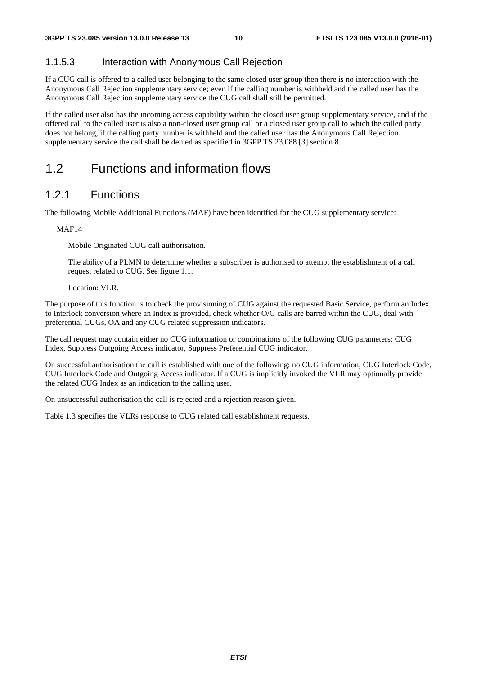#### 1.1.5.3 Interaction with Anonymous Call Rejection

If a CUG call is offered to a called user belonging to the same closed user group then there is no interaction with the Anonymous Call Rejection supplementary service; even if the calling number is withheld and the called user has the Anonymous Call Rejection supplementary service the CUG call shall still be permitted.

If the called user also has the incoming access capability within the closed user group supplementary service, and if the offered call to the called user is also a non-closed user group call or a closed user group call to which the called party does not belong, if the calling party number is withheld and the called user has the Anonymous Call Rejection supplementary service the call shall be denied as specified in 3GPP TS 23.088 [3] section 8.

## 1.2 Functions and information flows

### 1.2.1 Functions

The following Mobile Additional Functions (MAF) have been identified for the CUG supplementary service:

#### MAF14

Mobile Originated CUG call authorisation.

 The ability of a PLMN to determine whether a subscriber is authorised to attempt the establishment of a call request related to CUG. See figure 1.1.

#### Location: VLR.

The purpose of this function is to check the provisioning of CUG against the requested Basic Service, perform an Index to Interlock conversion where an Index is provided, check whether O/G calls are barred within the CUG, deal with preferential CUGs, OA and any CUG related suppression indicators.

The call request may contain either no CUG information or combinations of the following CUG parameters: CUG Index, Suppress Outgoing Access indicator, Suppress Preferential CUG indicator.

On successful authorisation the call is established with one of the following: no CUG information, CUG Interlock Code, CUG Interlock Code and Outgoing Access indicator. If a CUG is implicitly invoked the VLR may optionally provide the related CUG Index as an indication to the calling user.

On unsuccessful authorisation the call is rejected and a rejection reason given.

Table 1.3 specifies the VLRs response to CUG related call establishment requests.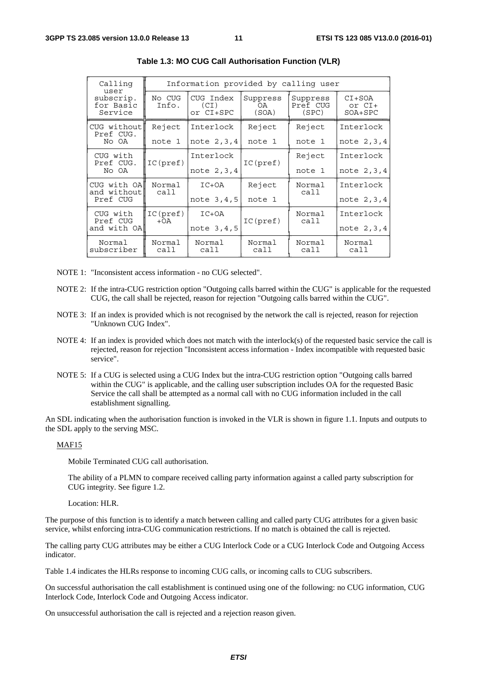| Calling<br>user                   | Information provided by calling user |                                |                         |                               |                                 |  |  |  |
|-----------------------------------|--------------------------------------|--------------------------------|-------------------------|-------------------------------|---------------------------------|--|--|--|
| subscrip.<br>for Basic<br>Service | No CUG<br>Info.                      | CUG Index<br>(CI)<br>or CI+SPC | Suppress<br>0A<br>(SOA) | Suppress<br>Pref CUG<br>(SPC) | $CI+SOA$<br>or CI+<br>$SOA+SPC$ |  |  |  |
| CUG without<br>Pref CUG.          | Reject                               | Interlock                      | Reject                  | Reject                        | Interlock                       |  |  |  |
| No OA                             | note 1                               | note 2, 3, 4                   | note 1                  | note 1                        | note 2, 3, 4                    |  |  |  |
| CUG with<br>Pref CUG.             | IC(pref)                             | Interlock                      | IC(pref)                | Reject                        | Interlock                       |  |  |  |
| No OA                             |                                      | note 2, 3, 4                   |                         | note 1                        | note 2, 3, 4                    |  |  |  |
| CUG with OA <br>and without       | Normal<br>call                       | $IC+OA$                        | Reject                  | Normal<br>cal1                | Interlock                       |  |  |  |
| Pref CUG                          |                                      | note 3,4,5                     | note 1                  |                               | note 2, 3, 4                    |  |  |  |
| CUG with<br>Pref CUG              | IC(pref)<br>$+OA$                    | $IC+OA$                        | IC(pref)                | Normal<br>call                | Interlock                       |  |  |  |
| and with OA                       |                                      | note 3,4,5                     |                         |                               | note 2, 3, 4                    |  |  |  |
| Normal<br>subscriber              | Normal<br>Normal<br>call<br>call     |                                | Normal<br>call          | Normal<br>call                | Normal<br>call                  |  |  |  |

|  | Table 1.3: MO CUG Call Authorisation Function (VLR) |  |  |
|--|-----------------------------------------------------|--|--|
|--|-----------------------------------------------------|--|--|

NOTE 1: "Inconsistent access information - no CUG selected".

- NOTE 2: If the intra-CUG restriction option "Outgoing calls barred within the CUG" is applicable for the requested CUG, the call shall be rejected, reason for rejection "Outgoing calls barred within the CUG".
- NOTE 3: If an index is provided which is not recognised by the network the call is rejected, reason for rejection "Unknown CUG Index".
- NOTE 4: If an index is provided which does not match with the interlock(s) of the requested basic service the call is rejected, reason for rejection "Inconsistent access information - Index incompatible with requested basic service".
- NOTE 5: If a CUG is selected using a CUG Index but the intra-CUG restriction option "Outgoing calls barred within the CUG" is applicable, and the calling user subscription includes OA for the requested Basic Service the call shall be attempted as a normal call with no CUG information included in the call establishment signalling.

An SDL indicating when the authorisation function is invoked in the VLR is shown in figure 1.1. Inputs and outputs to the SDL apply to the serving MSC.

#### MAF15

Mobile Terminated CUG call authorisation.

 The ability of a PLMN to compare received calling party information against a called party subscription for CUG integrity. See figure 1.2.

Location: HLR.

The purpose of this function is to identify a match between calling and called party CUG attributes for a given basic service, whilst enforcing intra-CUG communication restrictions. If no match is obtained the call is rejected.

The calling party CUG attributes may be either a CUG Interlock Code or a CUG Interlock Code and Outgoing Access indicator.

Table 1.4 indicates the HLRs response to incoming CUG calls, or incoming calls to CUG subscribers.

On successful authorisation the call establishment is continued using one of the following: no CUG information, CUG Interlock Code, Interlock Code and Outgoing Access indicator.

On unsuccessful authorisation the call is rejected and a rejection reason given.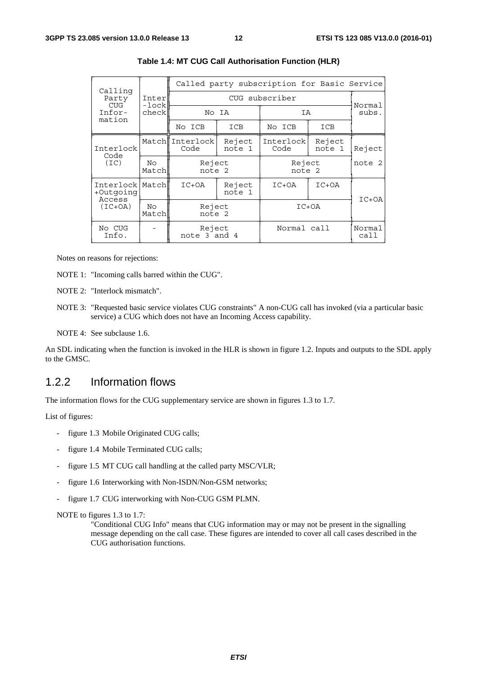|                                |                    | Called party subscription for Basic Service |                  |                   |                  |                |  |  |
|--------------------------------|--------------------|---------------------------------------------|------------------|-------------------|------------------|----------------|--|--|
| Calling<br>Party               | Inter              |                                             | Normal           |                   |                  |                |  |  |
| <b>CUG</b><br>Infor-<br>mation | -lock<br>check     |                                             | No IA            |                   | IA               |                |  |  |
|                                |                    | No ICB                                      | ICB              | No ICB            | ICB              |                |  |  |
| Interlock<br>Code              |                    | Match Interlock<br>Code                     | Reject<br>note 1 | Interlock<br>Code | Reject<br>note 1 | Reject         |  |  |
| (TC)                           | No<br>Match        | Reject<br>note 2                            |                  | Reject<br>note 2  | note 2           |                |  |  |
| +Outqoinq<br>Access            | Interlock<br>Match |                                             | Reject<br>note 1 | $IC+OA$           | $IC+OA$          | $IC+OA$        |  |  |
| $(IC+OA)$                      | No<br>Match        | Reject<br>note 2                            |                  |                   | $IC+OA$          |                |  |  |
| No CUG<br>Info.                |                    | Reject<br>note 3 and 4                      |                  | Normal call       |                  | Normal<br>call |  |  |

#### **Table 1.4: MT CUG Call Authorisation Function (HLR)**

Notes on reasons for rejections:

NOTE 1: "Incoming calls barred within the CUG".

NOTE 2: "Interlock mismatch".

NOTE 3: "Requested basic service violates CUG constraints" A non-CUG call has invoked (via a particular basic service) a CUG which does not have an Incoming Access capability.

NOTE 4: See subclause 1.6.

An SDL indicating when the function is invoked in the HLR is shown in figure 1.2. Inputs and outputs to the SDL apply to the GMSC.

### 1.2.2 Information flows

The information flows for the CUG supplementary service are shown in figures 1.3 to 1.7.

List of figures:

- figure 1.3 Mobile Originated CUG calls;
- figure 1.4 Mobile Terminated CUG calls;
- figure 1.5 MT CUG call handling at the called party MSC/VLR;
- figure 1.6 Interworking with Non-ISDN/Non-GSM networks;
- figure 1.7 CUG interworking with Non-CUG GSM PLMN.

NOTE to figures 1.3 to 1.7:

"Conditional CUG Info" means that CUG information may or may not be present in the signalling message depending on the call case. These figures are intended to cover all call cases described in the CUG authorisation functions.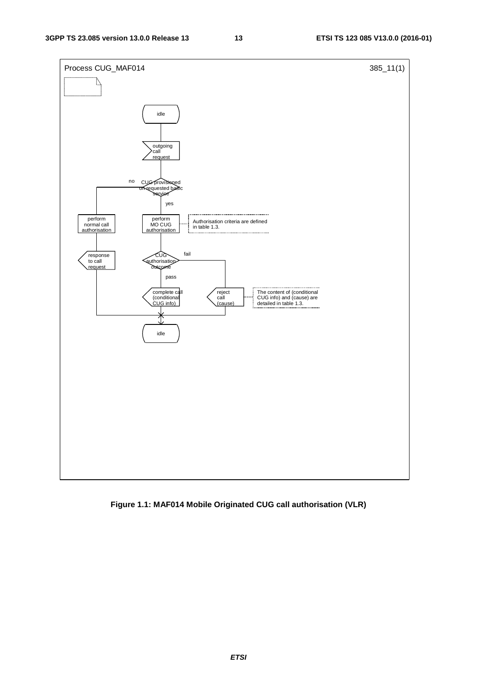

**Figure 1.1: MAF014 Mobile Originated CUG call authorisation (VLR)**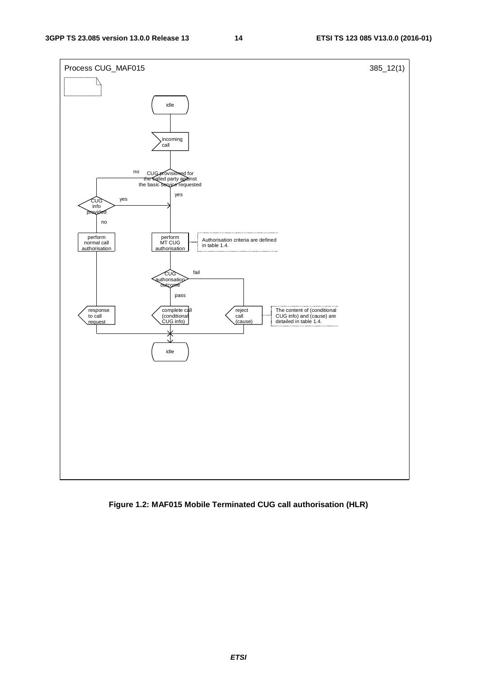

**Figure 1.2: MAF015 Mobile Terminated CUG call authorisation (HLR)**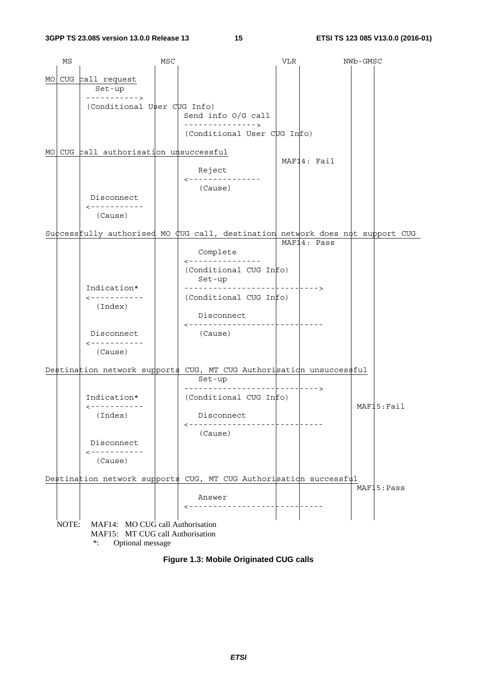|      | ΜS    |                                     | MSC |                                                                     | VLR | NWb-GMSC                                                                       |
|------|-------|-------------------------------------|-----|---------------------------------------------------------------------|-----|--------------------------------------------------------------------------------|
|      |       |                                     |     |                                                                     |     |                                                                                |
| MO I |       | CUG call request                    |     |                                                                     |     |                                                                                |
|      |       | Set-up<br>----------->              |     |                                                                     |     |                                                                                |
|      |       | (Conditional User CUG Info)         |     |                                                                     |     |                                                                                |
|      |       |                                     |     | Send info O/G call                                                  |     |                                                                                |
|      |       |                                     |     | --------------->                                                    |     |                                                                                |
|      |       |                                     |     | (Conditional User CUG Info)                                         |     |                                                                                |
|      |       |                                     |     |                                                                     |     |                                                                                |
| MO I |       | CUG call authorisation unsuccessful |     |                                                                     |     | MAF14: Fail                                                                    |
|      |       |                                     |     | Reject                                                              |     |                                                                                |
|      |       |                                     |     | ---------------                                                     |     |                                                                                |
|      |       |                                     |     | (Cause)                                                             |     |                                                                                |
|      |       | Disconnect                          |     |                                                                     |     |                                                                                |
|      |       | ------------                        |     |                                                                     |     |                                                                                |
|      |       | (Cause)                             |     |                                                                     |     |                                                                                |
|      |       |                                     |     |                                                                     |     | Success fully authorised MO CUG call, destination network does not support CUG |
|      |       |                                     |     |                                                                     |     | MAF14: Pass                                                                    |
|      |       |                                     |     | Complete                                                            |     |                                                                                |
|      |       |                                     |     | ---------------                                                     |     |                                                                                |
|      |       |                                     |     | (Conditional CUG Info)                                              |     |                                                                                |
|      |       |                                     |     | Set-up                                                              |     | - - - - - >                                                                    |
|      |       | Indication*<br>------------         |     | (Conditional CUG Info)                                              |     |                                                                                |
|      |       | (Index)                             |     |                                                                     |     |                                                                                |
|      |       |                                     |     | Disconnect                                                          |     |                                                                                |
|      |       |                                     |     |                                                                     |     |                                                                                |
|      |       | Disconnect                          |     | (Cause)                                                             |     |                                                                                |
|      |       | $- - - - - - - - - - - -$           |     |                                                                     |     |                                                                                |
|      |       | (Cause)                             |     |                                                                     |     |                                                                                |
|      |       |                                     |     | Destination network supports CUG, MT CUG Authorisation unsuccessful |     |                                                                                |
|      |       |                                     |     | Set-up                                                              |     |                                                                                |
|      |       |                                     |     |                                                                     |     |                                                                                |
|      |       | Indication*                         |     | (Conditional CUG Info)                                              |     |                                                                                |
|      |       | -----------                         |     |                                                                     |     | MAF15:Fail                                                                     |
|      |       | (Index)                             |     | Disconnect<br>---------------                                       |     |                                                                                |
|      |       |                                     |     | (Cause)                                                             |     |                                                                                |
|      |       | Disconnect                          |     |                                                                     |     |                                                                                |
|      |       | ------------                        |     |                                                                     |     |                                                                                |
|      |       | (Cause)                             |     |                                                                     |     |                                                                                |
|      |       |                                     |     |                                                                     |     |                                                                                |
|      |       |                                     |     | Destination network supports CUG, MT CUG Authorisation successful   |     | MAF15:Pass                                                                     |
|      |       |                                     |     | Answer                                                              |     |                                                                                |
|      |       |                                     |     | ------------------                                                  |     |                                                                                |
|      |       |                                     |     |                                                                     |     |                                                                                |
|      | NOTE: | MAF14: MO CUG call Authorisation    |     |                                                                     |     |                                                                                |
|      |       | MAF15: MT CUG call Authorisation    |     |                                                                     |     |                                                                                |
|      |       | $\ast$ :<br>Optional message        |     |                                                                     |     |                                                                                |

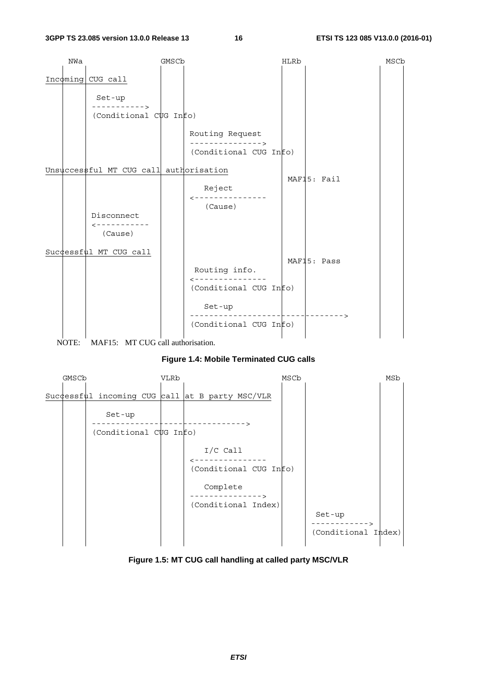

NOTE: MAF15: MT CUG call authorisation.

#### **Figure 1.4: Mobile Terminated CUG calls**



**Figure 1.5: MT CUG call handling at called party MSC/VLR**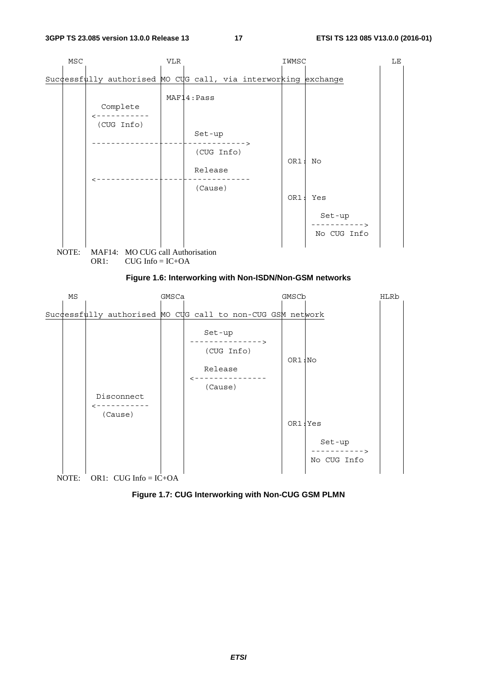

![](_page_17_Figure_4.jpeg)

![](_page_17_Figure_5.jpeg)

No CUG Info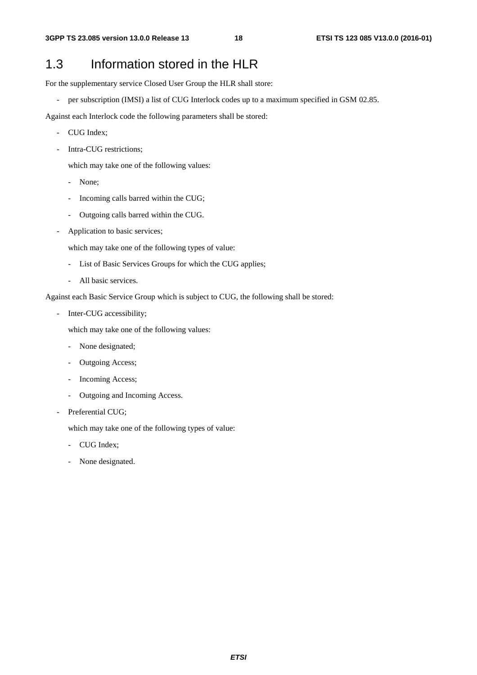## 1.3 Information stored in the HLR

For the supplementary service Closed User Group the HLR shall store:

- per subscription (IMSI) a list of CUG Interlock codes up to a maximum specified in GSM 02.85.

Against each Interlock code the following parameters shall be stored:

- CUG Index;
- Intra-CUG restrictions:

which may take one of the following values:

- None;
- Incoming calls barred within the CUG;
- Outgoing calls barred within the CUG.
- Application to basic services;

which may take one of the following types of value:

- List of Basic Services Groups for which the CUG applies;
- All basic services.

Against each Basic Service Group which is subject to CUG, the following shall be stored:

Inter-CUG accessibility;

which may take one of the following values:

- None designated;
- Outgoing Access;
- Incoming Access;
- Outgoing and Incoming Access.
- Preferential CUG;

which may take one of the following types of value:

- CUG Index;
- None designated.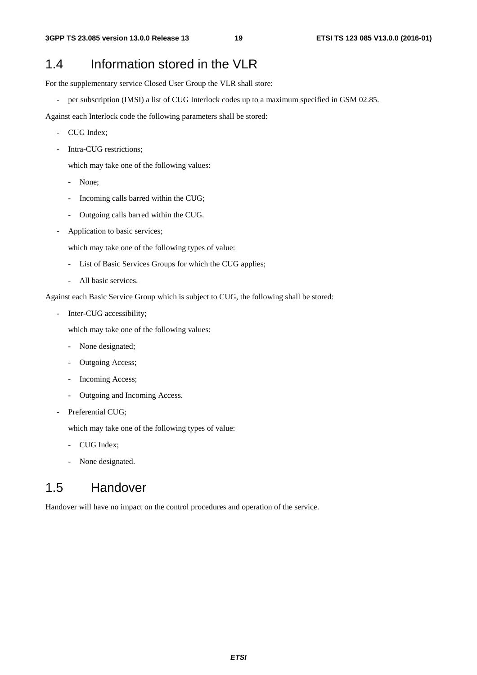## 1.4 Information stored in the VLR

For the supplementary service Closed User Group the VLR shall store:

- per subscription (IMSI) a list of CUG Interlock codes up to a maximum specified in GSM 02.85.

Against each Interlock code the following parameters shall be stored:

- CUG Index;
- Intra-CUG restrictions:

which may take one of the following values:

- None;
- Incoming calls barred within the CUG;
- Outgoing calls barred within the CUG.
- Application to basic services;

which may take one of the following types of value:

- List of Basic Services Groups for which the CUG applies;
- All basic services.

Against each Basic Service Group which is subject to CUG, the following shall be stored:

Inter-CUG accessibility;

which may take one of the following values:

- None designated;
- Outgoing Access;
- Incoming Access;
- Outgoing and Incoming Access.
- Preferential CUG;

which may take one of the following types of value:

- CUG Index;
- None designated.

## 1.5 Handover

Handover will have no impact on the control procedures and operation of the service.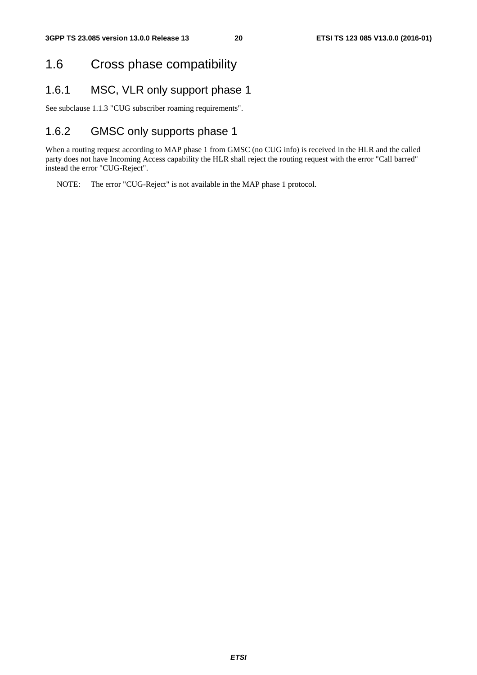## 1.6 Cross phase compatibility

### 1.6.1 MSC, VLR only support phase 1

See subclause 1.1.3 "CUG subscriber roaming requirements".

## 1.6.2 GMSC only supports phase 1

When a routing request according to MAP phase 1 from GMSC (no CUG info) is received in the HLR and the called party does not have Incoming Access capability the HLR shall reject the routing request with the error "Call barred" instead the error "CUG-Reject".

NOTE: The error "CUG-Reject" is not available in the MAP phase 1 protocol.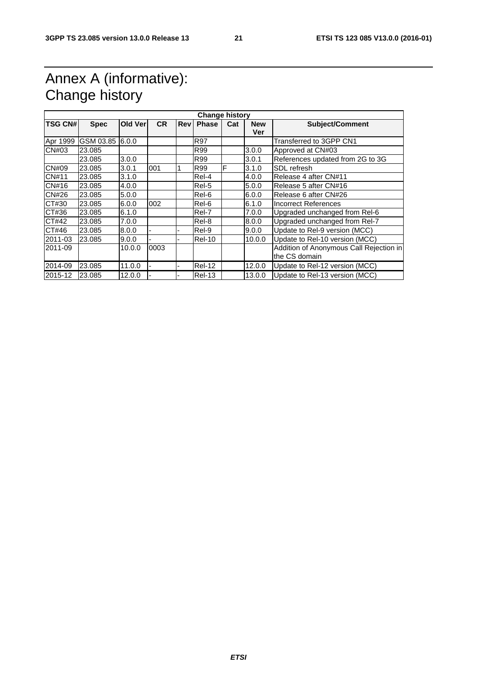## Annex A (informative): Change history

|                | <b>Change history</b> |         |           |            |               |     |            |                                         |  |  |  |
|----------------|-----------------------|---------|-----------|------------|---------------|-----|------------|-----------------------------------------|--|--|--|
| <b>TSG CN#</b> | <b>Spec</b>           | Old Ver | <b>CR</b> | <b>Rev</b> | <b>Phase</b>  | Cat | <b>New</b> | <b>Subject/Comment</b>                  |  |  |  |
|                |                       |         |           |            |               |     | Ver        |                                         |  |  |  |
|                | Apr 1999 GSM 03.85    | 6.0.0   |           |            | <b>R97</b>    |     |            | Transferred to 3GPP CN1                 |  |  |  |
| CN#03          | 23.085                |         |           |            | R99           |     | 3.0.0      | Approved at CN#03                       |  |  |  |
|                | 23.085                | 3.0.0   |           |            | R99           |     | 3.0.1      | References updated from 2G to 3G        |  |  |  |
| <b>CN#09</b>   | 23.085                | 3.0.1   | 001       |            | R99           | F   | 3.1.0      | SDL refresh                             |  |  |  |
| <b>CN#11</b>   | 23.085                | 3.1.0   |           |            | Rel-4         |     | 4.0.0      | Release 4 after CN#11                   |  |  |  |
| CN#16          | 23.085                | 4.0.0   |           |            | Rel-5         |     | 5.0.0      | Release 5 after CN#16                   |  |  |  |
| CN#26          | 23.085                | 5.0.0   |           |            | Rel-6         |     | 6.0.0      | Release 6 after CN#26                   |  |  |  |
| CT#30          | 23.085                | 6.0.0   | 002       |            | Rel-6         |     | 6.1.0      | Incorrect References                    |  |  |  |
| CT#36          | 23.085                | 6.1.0   |           |            | Rel-7         |     | 7.0.0      | Upgraded unchanged from Rel-6           |  |  |  |
| CT#42          | 23.085                | 7.0.0   |           |            | Rel-8         |     | 8.0.0      | Upgraded unchanged from Rel-7           |  |  |  |
| CT#46          | 23.085                | 8.0.0   |           |            | Rel-9         |     | 9.0.0      | Update to Rel-9 version (MCC)           |  |  |  |
| 2011-03        | 23.085                | 9.0.0   |           |            | <b>Rel-10</b> |     | 10.0.0     | Update to Rel-10 version (MCC)          |  |  |  |
| l2011-09       |                       | 10.0.0  | 0003      |            |               |     |            | Addition of Anonymous Call Rejection in |  |  |  |
|                |                       |         |           |            |               |     |            | the CS domain                           |  |  |  |
| 2014-09        | 23.085                | 11.0.0  |           |            | Rel-12        |     | 12.0.0     | Update to Rel-12 version (MCC)          |  |  |  |
| 2015-12        | 23.085                | 12.0.0  |           |            | Rel-13        |     | 13.0.0     | Update to Rel-13 version (MCC)          |  |  |  |